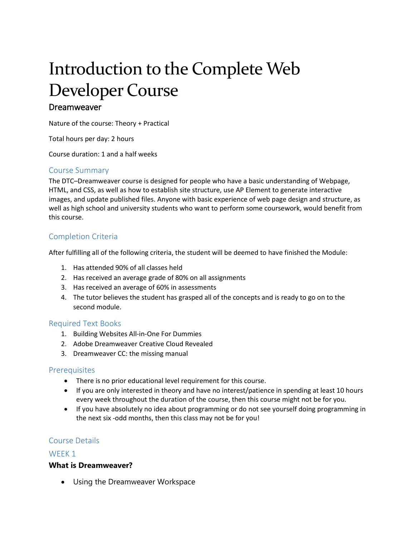# Introduction to the Complete Web Developer Course

## Dreamweaver

Nature of the course: Theory + Practical

Total hours per day: 2 hours

Course duration: 1 and a half weeks

#### Course Summary

The DTC–Dreamweaver course is designed for people who have a basic understanding of Webpage, HTML, and CSS, as well as how to establish site structure, use AP Element to generate interactive images, and update published files. Anyone with basic experience of web page design and structure, as well as high school and university students who want to perform some coursework, would benefit from this course.

#### Completion Criteria

After fulfilling all of the following criteria, the student will be deemed to have finished the Module:

- 1. Has attended 90% of all classes held
- 2. Has received an average grade of 80% on all assignments
- 3. Has received an average of 60% in assessments
- 4. The tutor believes the student has grasped all of the concepts and is ready to go on to the second module.

#### Required Text Books

- 1. Building Websites All-in-One For Dummies
- 2. Adobe Dreamweaver Creative Cloud Revealed
- 3. Dreamweaver CC: the missing manual

#### **Prerequisites**

- There is no prior educational level requirement for this course.
- If you are only interested in theory and have no interest/patience in spending at least 10 hours every week throughout the duration of the course, then this course might not be for you.
- If you have absolutely no idea about programming or do not see yourself doing programming in the next six -odd months, then this class may not be for you!

#### Course Details

#### WEEK<sub>1</sub>

#### **What is Dreamweaver?**

Using the Dreamweaver Workspace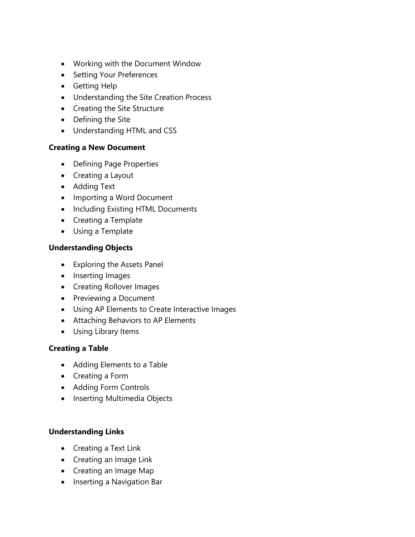- Working with the Document Window
- Setting Your Preferences
- Getting Help
- Understanding the Site Creation Process
- Creating the Site Structure
- Defining the Site
- Understanding HTML and CSS

# **Creating a New Document**

- Defining Page Properties
- Creating a Layout
- Adding Text
- Importing a Word Document
- Including Existing HTML Documents
- Creating a Template
- Using a Template

# **Understanding Objects**

- Exploring the Assets Panel
- Inserting Images
- Creating Rollover Images
- Previewing a Document
- Using AP Elements to Create Interactive Images
- Attaching Behaviors to AP Elements
- Using Library Items

# **Creating a Table**

- Adding Elements to a Table
- Creating a Form
- Adding Form Controls
- Inserting Multimedia Objects

# **Understanding Links**

- Creating a Text Link
- Creating an Image Link
- Creating an Image Map
- Inserting a Navigation Bar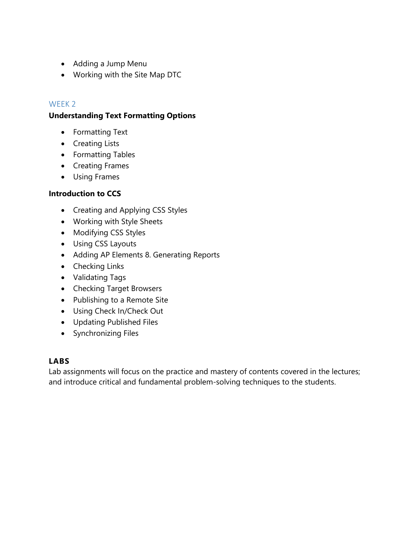- Adding a Jump Menu
- Working with the Site Map DTC

# WFFK<sub>2</sub>

# **Understanding Text Formatting Options**

- Formatting Text
- Creating Lists
- Formatting Tables
- Creating Frames
- Using Frames

# **Introduction to CCS**

- Creating and Applying CSS Styles
- Working with Style Sheets
- Modifying CSS Styles
- Using CSS Layouts
- Adding AP Elements 8. Generating Reports
- Checking Links
- Validating Tags
- Checking Target Browsers
- Publishing to a Remote Site
- Using Check In/Check Out
- Updating Published Files
- Synchronizing Files

# **LABS**

Lab assignments will focus on the practice and mastery of contents covered in the lectures; and introduce critical and fundamental problem-solving techniques to the students.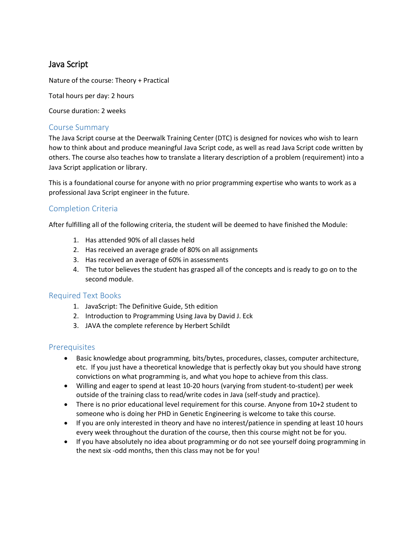# Java Script

Nature of the course: Theory + Practical

Total hours per day: 2 hours

Course duration: 2 weeks

#### Course Summary

The Java Script course at the Deerwalk Training Center (DTC) is designed for novices who wish to learn how to think about and produce meaningful Java Script code, as well as read Java Script code written by others. The course also teaches how to translate a literary description of a problem (requirement) into a Java Script application or library.

This is a foundational course for anyone with no prior programming expertise who wants to work as a professional Java Script engineer in the future.

#### Completion Criteria

After fulfilling all of the following criteria, the student will be deemed to have finished the Module:

- 1. Has attended 90% of all classes held
- 2. Has received an average grade of 80% on all assignments
- 3. Has received an average of 60% in assessments
- 4. The tutor believes the student has grasped all of the concepts and is ready to go on to the second module.

#### Required Text Books

- 1. JavaScript: The Definitive Guide, 5th edition
- 2. Introduction to Programming Using Java by David J. Eck
- 3. JAVA the complete reference by Herbert Schildt

#### **Prerequisites**

- Basic knowledge about programming, bits/bytes, procedures, classes, computer architecture, etc. If you just have a theoretical knowledge that is perfectly okay but you should have strong convictions on what programming is, and what you hope to achieve from this class.
- Willing and eager to spend at least 10-20 hours (varying from student-to-student) per week outside of the training class to read/write codes in Java (self-study and practice).
- There is no prior educational level requirement for this course. Anyone from 10+2 student to someone who is doing her PHD in Genetic Engineering is welcome to take this course.
- If you are only interested in theory and have no interest/patience in spending at least 10 hours every week throughout the duration of the course, then this course might not be for you.
- If you have absolutely no idea about programming or do not see yourself doing programming in the next six -odd months, then this class may not be for you!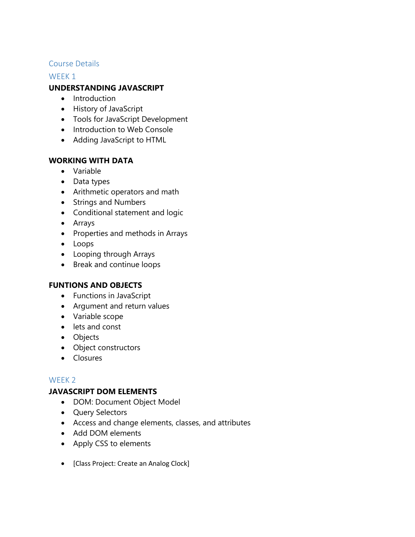# Course Details

WFFK<sub>1</sub>

# **UNDERSTANDING JAVASCRIPT**

- Introduction
- History of JavaScript
- Tools for JavaScript Development
- Introduction to Web Console
- Adding JavaScript to HTML

# **WORKING WITH DATA**

- Variable
- Data types
- Arithmetic operators and math
- Strings and Numbers
- Conditional statement and logic
- Arrays
- Properties and methods in Arrays
- Loops
- Looping through Arrays
- Break and continue loops

#### **FUNTIONS AND OBJECTS**

- Functions in JavaScript
- Argument and return values
- Variable scope
- lets and const
- Objects
- Object constructors
- Closures

# WEEK 2

#### **JAVASCRIPT DOM ELEMENTS**

- DOM: Document Object Model
- Query Selectors
- Access and change elements, classes, and attributes
- Add DOM elements
- Apply CSS to elements
- [Class Project: Create an Analog Clock]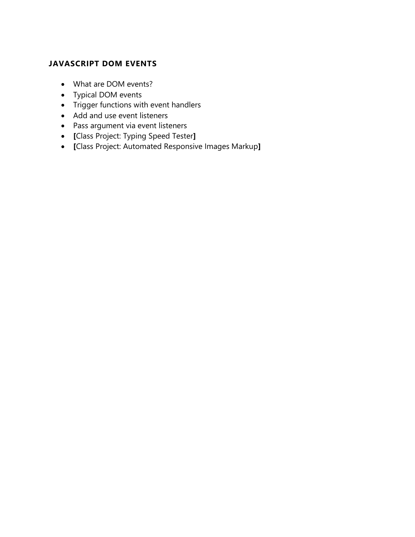# **JAVASCRIPT DOM EVENTS**

- What are DOM events?
- Typical DOM events
- Trigger functions with event handlers
- Add and use event listeners
- Pass argument via event listeners
- **[**Class Project: Typing Speed Tester**]**
- **[**Class Project: Automated Responsive Images Markup**]**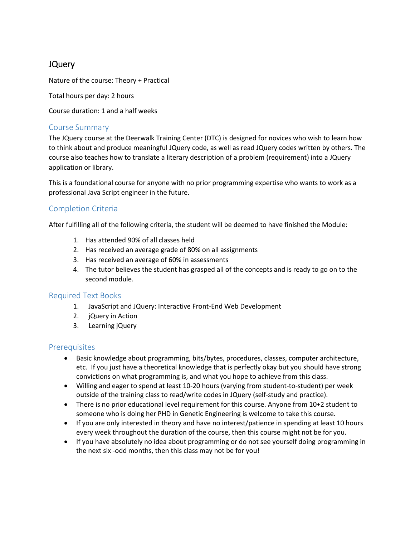# JQuery

Nature of the course: Theory + Practical

Total hours per day: 2 hours

Course duration: 1 and a half weeks

#### Course Summary

The JQuery course at the Deerwalk Training Center (DTC) is designed for novices who wish to learn how to think about and produce meaningful JQuery code, as well as read JQuery codes written by others. The course also teaches how to translate a literary description of a problem (requirement) into a JQuery application or library.

This is a foundational course for anyone with no prior programming expertise who wants to work as a professional Java Script engineer in the future.

#### Completion Criteria

After fulfilling all of the following criteria, the student will be deemed to have finished the Module:

- 1. Has attended 90% of all classes held
- 2. Has received an average grade of 80% on all assignments
- 3. Has received an average of 60% in assessments
- 4. The tutor believes the student has grasped all of the concepts and is ready to go on to the second module.

#### Required Text Books

- 1. JavaScript and JQuery: Interactive Front-End Web Development
- 2. jQuery in Action
- 3. Learning jQuery

#### **Prerequisites**

- Basic knowledge about programming, bits/bytes, procedures, classes, computer architecture, etc. If you just have a theoretical knowledge that is perfectly okay but you should have strong convictions on what programming is, and what you hope to achieve from this class.
- Willing and eager to spend at least 10-20 hours (varying from student-to-student) per week outside of the training class to read/write codes in JQuery (self-study and practice).
- There is no prior educational level requirement for this course. Anyone from 10+2 student to someone who is doing her PHD in Genetic Engineering is welcome to take this course.
- If you are only interested in theory and have no interest/patience in spending at least 10 hours every week throughout the duration of the course, then this course might not be for you.
- If you have absolutely no idea about programming or do not see yourself doing programming in the next six -odd months, then this class may not be for you!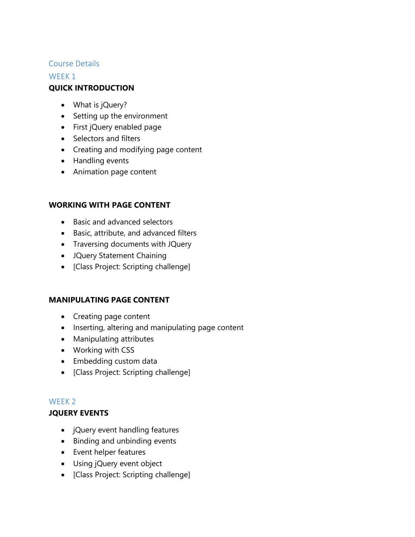## Course Details

## WFFK<sub>1</sub>

# **QUICK INTRODUCTION**

- What is jQuery?
- Setting up the environment
- First jQuery enabled page
- Selectors and filters
- Creating and modifying page content
- Handling events
- Animation page content

# **WORKING WITH PAGE CONTENT**

- Basic and advanced selectors
- Basic, attribute, and advanced filters
- Traversing documents with JQuery
- JQuery Statement Chaining
- [Class Project: Scripting challenge]

#### **MANIPULATING PAGE CONTENT**

- Creating page content
- Inserting, altering and manipulating page content
- Manipulating attributes
- Working with CSS
- Embedding custom data
- [Class Project: Scripting challenge]

#### WEEK 2

#### **JQUERY EVENTS**

- jQuery event handling features
- Binding and unbinding events
- Event helper features
- Using jQuery event object
- [Class Project: Scripting challenge]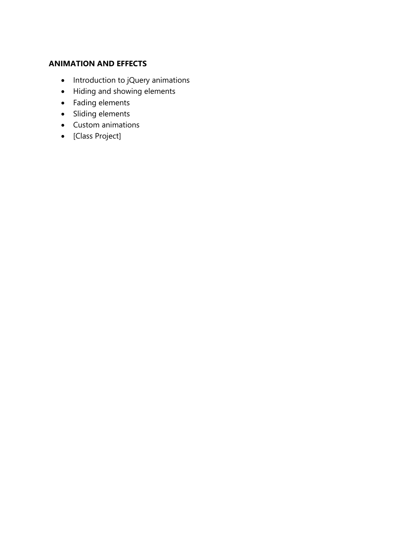# **ANIMATION AND EFFECTS**

- Introduction to jQuery animations
- Hiding and showing elements
- Fading elements
- Sliding elements
- Custom animations
- [Class Project]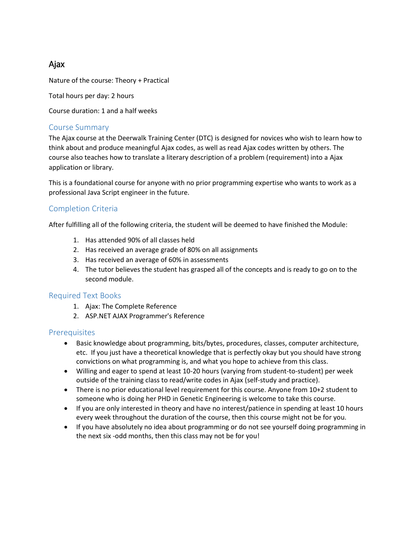# Ajax

Nature of the course: Theory + Practical

Total hours per day: 2 hours

Course duration: 1 and a half weeks

#### Course Summary

The Ajax course at the Deerwalk Training Center (DTC) is designed for novices who wish to learn how to think about and produce meaningful Ajax codes, as well as read Ajax codes written by others. The course also teaches how to translate a literary description of a problem (requirement) into a Ajax application or library.

This is a foundational course for anyone with no prior programming expertise who wants to work as a professional Java Script engineer in the future.

# Completion Criteria

After fulfilling all of the following criteria, the student will be deemed to have finished the Module:

- 1. Has attended 90% of all classes held
- 2. Has received an average grade of 80% on all assignments
- 3. Has received an average of 60% in assessments
- 4. The tutor believes the student has grasped all of the concepts and is ready to go on to the second module.

#### Required Text Books

- 1. Ajax: The Complete Reference
- 2. ASP.NET AJAX Programmer's Reference

#### **Prerequisites**

- Basic knowledge about programming, bits/bytes, procedures, classes, computer architecture, etc. If you just have a theoretical knowledge that is perfectly okay but you should have strong convictions on what programming is, and what you hope to achieve from this class.
- Willing and eager to spend at least 10-20 hours (varying from student-to-student) per week outside of the training class to read/write codes in Ajax (self-study and practice).
- There is no prior educational level requirement for this course. Anyone from 10+2 student to someone who is doing her PHD in Genetic Engineering is welcome to take this course.
- If you are only interested in theory and have no interest/patience in spending at least 10 hours every week throughout the duration of the course, then this course might not be for you.
- If you have absolutely no idea about programming or do not see yourself doing programming in the next six -odd months, then this class may not be for you!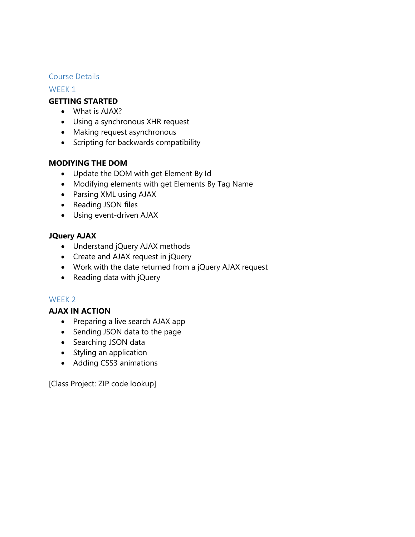#### Course Details

#### WEEK 1

#### **GETTING STARTED**

- What is AJAX?
- Using a synchronous XHR request
- Making request asynchronous
- Scripting for backwards compatibility

# **MODIYING THE DOM**

- Update the DOM with get Element By Id
- Modifying elements with get Elements By Tag Name
- Parsing XML using AJAX
- Reading JSON files
- Using event-driven AJAX

# **JQuery AJAX**

- Understand jQuery AJAX methods
- Create and AJAX request in jQuery
- Work with the date returned from a jQuery AJAX request
- Reading data with jQuery

#### WEEK 2

#### **AJAX IN ACTION**

- Preparing a live search AJAX app
- Sending JSON data to the page
- Searching JSON data
- Styling an application
- Adding CSS3 animations

[Class Project: ZIP code lookup]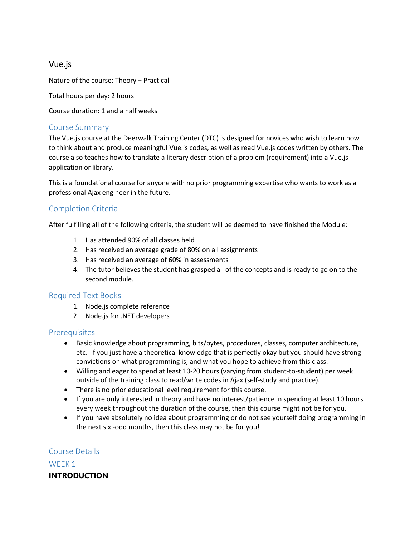# Vue.js

Nature of the course: Theory + Practical

Total hours per day: 2 hours

Course duration: 1 and a half weeks

#### Course Summary

The Vue.js course at the Deerwalk Training Center (DTC) is designed for novices who wish to learn how to think about and produce meaningful Vue.js codes, as well as read Vue.js codes written by others. The course also teaches how to translate a literary description of a problem (requirement) into a Vue.js application or library.

This is a foundational course for anyone with no prior programming expertise who wants to work as a professional Ajax engineer in the future.

#### Completion Criteria

After fulfilling all of the following criteria, the student will be deemed to have finished the Module:

- 1. Has attended 90% of all classes held
- 2. Has received an average grade of 80% on all assignments
- 3. Has received an average of 60% in assessments
- 4. The tutor believes the student has grasped all of the concepts and is ready to go on to the second module.

#### Required Text Books

- 1. Node.js complete reference
- 2. Node.js for .NET developers

#### **Prerequisites**

- Basic knowledge about programming, bits/bytes, procedures, classes, computer architecture, etc. If you just have a theoretical knowledge that is perfectly okay but you should have strong convictions on what programming is, and what you hope to achieve from this class.
- Willing and eager to spend at least 10-20 hours (varying from student-to-student) per week outside of the training class to read/write codes in Ajax (self-study and practice).
- There is no prior educational level requirement for this course.
- If you are only interested in theory and have no interest/patience in spending at least 10 hours every week throughout the duration of the course, then this course might not be for you.
- If you have absolutely no idea about programming or do not see yourself doing programming in the next six -odd months, then this class may not be for you!

Course Details WEEK 1 **INTRODUCTION**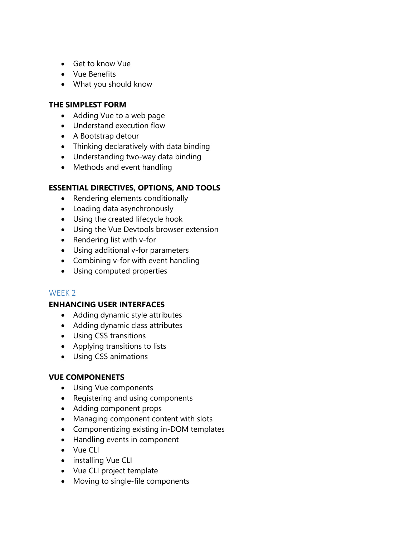- Get to know Vue
- Vue Benefits
- What you should know

# **THE SIMPLEST FORM**

- Adding Vue to a web page
- Understand execution flow
- A Bootstrap detour
- Thinking declaratively with data binding
- Understanding two-way data binding
- Methods and event handling

# **ESSENTIAL DIRECTIVES, OPTIONS, AND TOOLS**

- Rendering elements conditionally
- Loading data asynchronously
- Using the created lifecycle hook
- Using the Vue Devtools browser extension
- Rendering list with v-for
- Using additional v-for parameters
- Combining v-for with event handling
- Using computed properties

#### WFFK<sub>2</sub>

#### **ENHANCING USER INTERFACES**

- Adding dynamic style attributes
- Adding dynamic class attributes
- Using CSS transitions
- Applying transitions to lists
- Using CSS animations

# **VUE COMPONENETS**

- Using Vue components
- Registering and using components
- Adding component props
- Managing component content with slots
- Componentizing existing in-DOM templates
- Handling events in component
- Vue CLI
- installing Vue CLI
- Vue CLI project template
- Moving to single-file components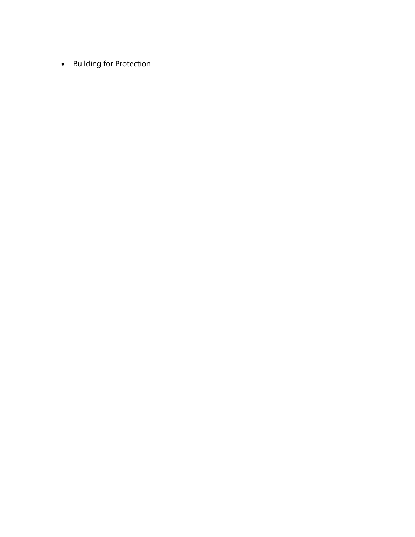**•** Building for Protection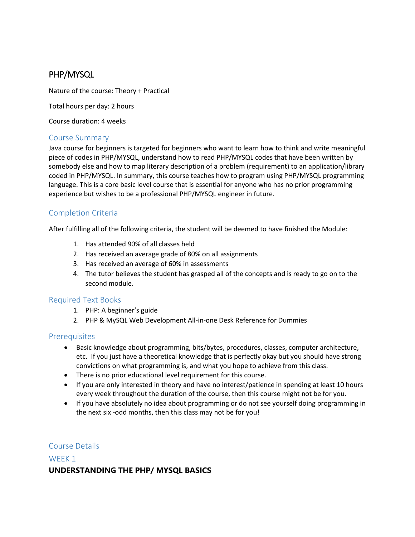# PHP/MYSQL

Nature of the course: Theory + Practical

Total hours per day: 2 hours

Course duration: 4 weeks

#### Course Summary

Java course for beginners is targeted for beginners who want to learn how to think and write meaningful piece of codes in PHP/MYSQL, understand how to read PHP/MYSQL codes that have been written by somebody else and how to map literary description of a problem (requirement) to an application/library coded in PHP/MYSQL. In summary, this course teaches how to program using PHP/MYSQL programming language. This is a core basic level course that is essential for anyone who has no prior programming experience but wishes to be a professional PHP/MYSQL engineer in future.

# Completion Criteria

After fulfilling all of the following criteria, the student will be deemed to have finished the Module:

- 1. Has attended 90% of all classes held
- 2. Has received an average grade of 80% on all assignments
- 3. Has received an average of 60% in assessments
- 4. The tutor believes the student has grasped all of the concepts and is ready to go on to the second module.

#### Required Text Books

- 1. PHP: A beginner's guide
- 2. PHP & MySQL Web Development All-in-one Desk Reference for Dummies

#### **Prerequisites**

- Basic knowledge about programming, bits/bytes, procedures, classes, computer architecture, etc. If you just have a theoretical knowledge that is perfectly okay but you should have strong convictions on what programming is, and what you hope to achieve from this class.
- There is no prior educational level requirement for this course.
- If you are only interested in theory and have no interest/patience in spending at least 10 hours every week throughout the duration of the course, then this course might not be for you.
- If you have absolutely no idea about programming or do not see yourself doing programming in the next six -odd months, then this class may not be for you!

#### Course Details

# WEEK<sub>1</sub> **UNDERSTANDING THE PHP/ MYSQL BASICS**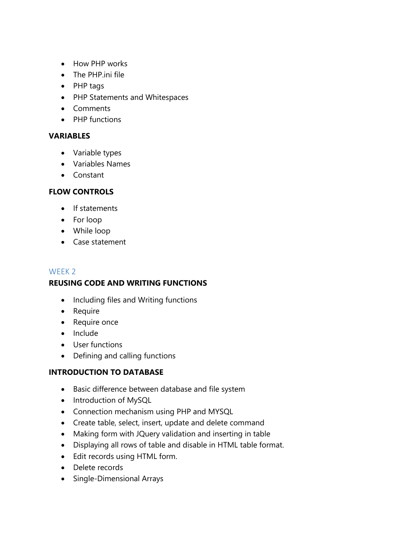- How PHP works
- The PHP.ini file
- PHP tags
- PHP Statements and Whitespaces
- Comments
- PHP functions

# **VARIABLES**

- Variable types
- Variables Names
- Constant

# **FLOW CONTROLS**

- If statements
- For loop
- While loop
- Case statement

# WEEK 2

# **REUSING CODE AND WRITING FUNCTIONS**

- Including files and Writing functions
- Require
- Require once
- Include
- User functions
- Defining and calling functions

# **INTRODUCTION TO DATABASE**

- Basic difference between database and file system
- Introduction of MySQL
- Connection mechanism using PHP and MYSQL
- Create table, select, insert, update and delete command
- Making form with JQuery validation and inserting in table
- Displaying all rows of table and disable in HTML table format.
- Edit records using HTML form.
- Delete records
- Single-Dimensional Arrays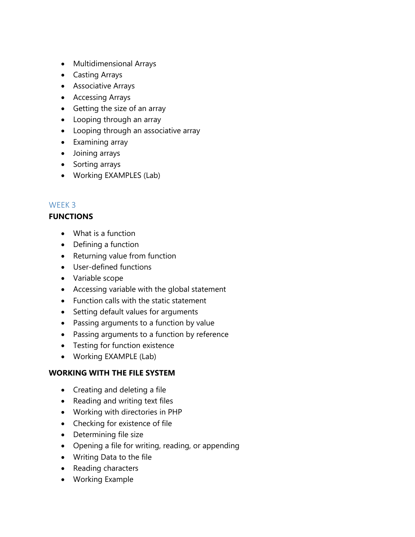- Multidimensional Arrays
- Casting Arrays
- Associative Arrays
- Accessing Arrays
- Getting the size of an array
- Looping through an array
- Looping through an associative array
- Examining array
- Joining arrays
- Sorting arrays
- Working EXAMPLES (Lab)

# WEEK 3

# **FUNCTIONS**

- What is a function
- Defining a function
- Returning value from function
- User-defined functions
- Variable scope
- Accessing variable with the global statement
- Function calls with the static statement
- Setting default values for arguments
- Passing arguments to a function by value
- Passing arguments to a function by reference
- Testing for function existence
- Working EXAMPLE (Lab)

#### **WORKING WITH THE FILE SYSTEM**

- Creating and deleting a file
- Reading and writing text files
- Working with directories in PHP
- Checking for existence of file
- Determining file size
- Opening a file for writing, reading, or appending
- Writing Data to the file
- Reading characters
- Working Example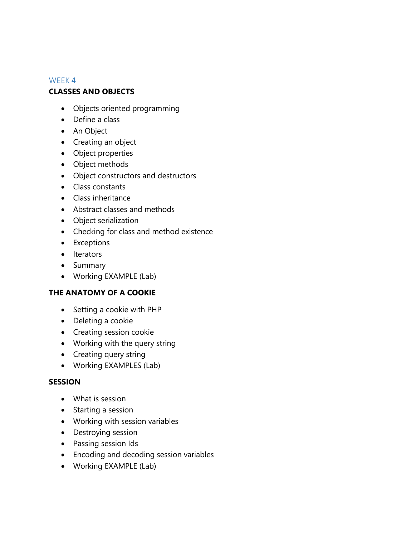## WEEK 4

# **CLASSES AND OBJECTS**

- Objects oriented programming
- Define a class
- An Object
- Creating an object
- Object properties
- Object methods
- Object constructors and destructors
- Class constants
- Class inheritance
- Abstract classes and methods
- Object serialization
- Checking for class and method existence
- Exceptions
- Iterators
- Summary
- Working EXAMPLE (Lab)

#### **THE ANATOMY OF A COOKIE**

- Setting a cookie with PHP
- Deleting a cookie
- **•** Creating session cookie
- Working with the query string
- Creating query string
- Working EXAMPLES (Lab)

#### **SESSION**

- What is session
- Starting a session
- Working with session variables
- Destroying session
- Passing session Ids
- Encoding and decoding session variables
- Working EXAMPLE (Lab)